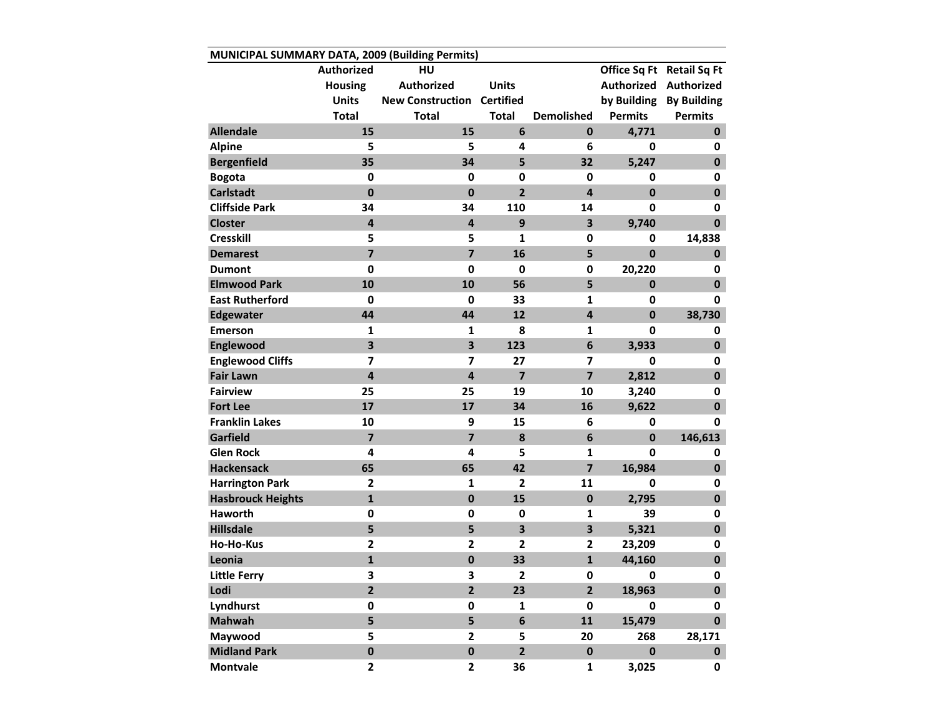| MUNICIPAL SUMMARY DATA, 2009 (Building Permits) |                   |                                   |                         |                         |                |                           |  |  |  |  |  |
|-------------------------------------------------|-------------------|-----------------------------------|-------------------------|-------------------------|----------------|---------------------------|--|--|--|--|--|
|                                                 | <b>Authorized</b> | HU                                |                         |                         |                | Office Sq Ft Retail Sq Ft |  |  |  |  |  |
|                                                 | <b>Housing</b>    | <b>Authorized</b>                 | <b>Units</b>            |                         |                | Authorized Authorized     |  |  |  |  |  |
|                                                 | <b>Units</b>      | <b>New Construction Certified</b> |                         |                         |                | by Building By Building   |  |  |  |  |  |
|                                                 | <b>Total</b>      | <b>Total</b>                      | <b>Total</b>            | <b>Demolished</b>       | <b>Permits</b> | <b>Permits</b>            |  |  |  |  |  |
| <b>Allendale</b>                                | 15                | 15                                | 6                       | $\mathbf{0}$            | 4,771          | $\mathbf{0}$              |  |  |  |  |  |
| <b>Alpine</b>                                   | 5                 | 5                                 | 4                       | 6                       | 0              | 0                         |  |  |  |  |  |
| <b>Bergenfield</b>                              | 35                | 34                                | 5                       | 32                      | 5,247          | $\mathbf{0}$              |  |  |  |  |  |
| <b>Bogota</b>                                   | 0                 | $\mathbf 0$                       | $\mathbf{0}$            | 0                       | $\mathbf 0$    | $\mathbf 0$               |  |  |  |  |  |
| <b>Carlstadt</b>                                | $\mathbf{0}$      | $\mathbf{0}$                      | $\overline{2}$          | 4                       | $\mathbf{0}$   | $\mathbf 0$               |  |  |  |  |  |
| <b>Cliffside Park</b>                           | 34                | 34                                | 110                     | 14                      | $\mathbf{0}$   | $\mathbf 0$               |  |  |  |  |  |
| <b>Closter</b>                                  | 4                 | 4                                 | 9                       | $\overline{\mathbf{3}}$ | 9,740          | $\mathbf 0$               |  |  |  |  |  |
| <b>Cresskill</b>                                | 5                 | 5                                 | 1                       | $\mathbf 0$             | 0              | 14,838                    |  |  |  |  |  |
| <b>Demarest</b>                                 | $\overline{7}$    | $\overline{\mathbf{z}}$           | 16                      | 5                       | $\mathbf{0}$   | 0                         |  |  |  |  |  |
| <b>Dumont</b>                                   | $\mathbf 0$       | 0                                 | $\mathbf 0$             | $\mathbf 0$             | 20,220         | 0                         |  |  |  |  |  |
| <b>Elmwood Park</b>                             | 10                | 10                                | 56                      | 5                       | $\mathbf{0}$   | $\mathbf 0$               |  |  |  |  |  |
| <b>East Rutherford</b>                          | 0                 | 0                                 | 33                      | 1                       | 0              | 0                         |  |  |  |  |  |
| <b>Edgewater</b>                                | 44                | 44                                | 12                      | $\overline{\mathbf{4}}$ | $\mathbf{0}$   | 38,730                    |  |  |  |  |  |
| <b>Emerson</b>                                  | $\mathbf{1}$      | 1                                 | 8                       | $\mathbf{1}$            | 0              | 0                         |  |  |  |  |  |
| Englewood                                       | 3                 | $\overline{\mathbf{3}}$           | 123                     | $6\phantom{1}$          | 3,933          | $\mathbf{0}$              |  |  |  |  |  |
| <b>Englewood Cliffs</b>                         | 7                 | 7                                 | 27                      | $\overline{\mathbf{z}}$ | $\mathbf 0$    | $\mathbf 0$               |  |  |  |  |  |
| <b>Fair Lawn</b>                                | 4                 | $\overline{\mathbf{4}}$           | $\overline{7}$          | $\overline{7}$          | 2,812          | $\mathbf 0$               |  |  |  |  |  |
| <b>Fairview</b>                                 | 25                | 25                                | 19                      | 10                      | 3,240          | $\mathbf 0$               |  |  |  |  |  |
| <b>Fort Lee</b>                                 | 17                | 17                                | 34                      | 16                      | 9,622          | $\pmb{0}$                 |  |  |  |  |  |
| <b>Franklin Lakes</b>                           | 10                | 9                                 | 15                      | 6                       | $\mathbf 0$    | 0                         |  |  |  |  |  |
| Garfield                                        | $\overline{7}$    | $\overline{7}$                    | 8                       | $6\phantom{1}$          | $\mathbf{0}$   | 146,613                   |  |  |  |  |  |
| <b>Glen Rock</b>                                | 4                 | 4                                 | 5                       | $\mathbf{1}$            | 0              | 0                         |  |  |  |  |  |
| <b>Hackensack</b>                               | 65                | 65                                | 42                      | $\overline{7}$          | 16,984         | $\mathbf 0$               |  |  |  |  |  |
| <b>Harrington Park</b>                          | $\overline{2}$    | $\mathbf{1}$                      | $\mathbf{2}$            | 11                      | 0              | 0                         |  |  |  |  |  |
| <b>Hasbrouck Heights</b>                        | $\mathbf{1}$      | $\mathbf 0$                       | 15                      | $\mathbf 0$             | 2,795          | $\mathbf 0$               |  |  |  |  |  |
| <b>Haworth</b>                                  | 0                 | 0                                 | 0                       | $\mathbf{1}$            | 39             | $\mathbf 0$               |  |  |  |  |  |
| <b>Hillsdale</b>                                | 5                 | 5                                 | 3                       | $\overline{\mathbf{3}}$ | 5,321          | $\mathbf 0$               |  |  |  |  |  |
| <b>Ho-Ho-Kus</b>                                | $\mathbf{2}$      | $\mathbf{2}$                      | $\overline{2}$          | $\overline{2}$          | 23,209         | 0                         |  |  |  |  |  |
| Leonia                                          | $\mathbf{1}$      | $\mathbf 0$                       | 33                      | $\mathbf{1}$            | 44,160         | $\mathbf 0$               |  |  |  |  |  |
| <b>Little Ferry</b>                             | 3                 | 3                                 | 2                       | 0                       | 0              | 0                         |  |  |  |  |  |
| Lodi                                            | $\overline{2}$    | $\overline{\mathbf{2}}$           | 23                      | $2^{\circ}$             | 18,963         | $\mathbf 0$               |  |  |  |  |  |
| Lyndhurst                                       | 0                 | 0                                 | $\mathbf{1}$            | $\mathbf 0$             | 0              | 0                         |  |  |  |  |  |
| <b>Mahwah</b>                                   | 5                 | 5                                 | 6                       | 11                      | 15,479         | $\mathbf 0$               |  |  |  |  |  |
| Maywood                                         | 5                 | $\mathbf{2}$                      | 5                       | 20                      | 268            | 28,171                    |  |  |  |  |  |
| <b>Midland Park</b>                             | $\mathbf 0$       | $\pmb{0}$                         | $\overline{\mathbf{2}}$ | $\pmb{0}$               | $\pmb{0}$      | $\mathbf 0$               |  |  |  |  |  |
| <b>Montvale</b>                                 | $\mathbf{2}$      | $\mathbf{2}$                      | 36                      | 1                       | 3,025          | 0                         |  |  |  |  |  |